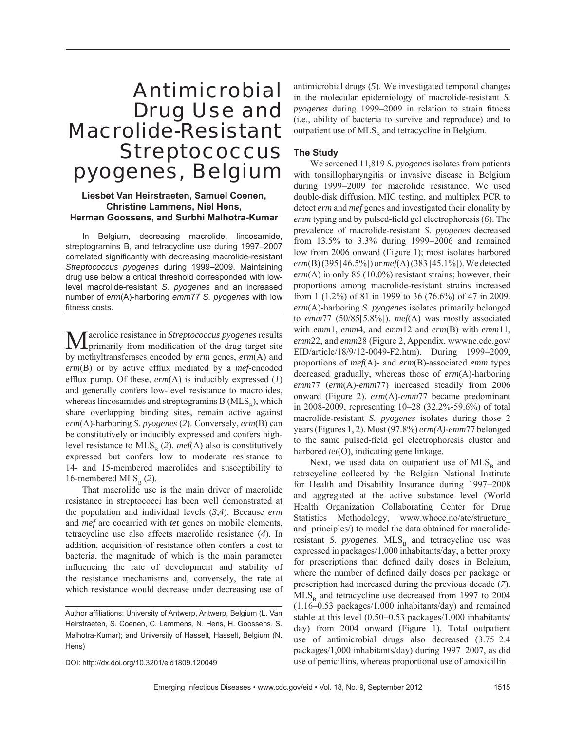# Antimicrobial Drug Use and Macrolide-Resistant *Streptococcus pyogenes*, Belgium

## **Liesbet Van Heirstraeten, Samuel Coenen, Christine Lammens, Niel Hens, Herman Goossens, and Surbhi Malhotra-Kumar**

In Belgium, decreasing macrolide, lincosamide, streptogramins B, and tetracycline use during 1997–2007 correlated significantly with decreasing macrolide-resistant *Streptococcus pyogenes* during 1999–2009. Maintaining drug use below a critical threshold corresponded with lowlevel macrolide-resistant *S. pyogenes* and an increased number of *erm*(A)-harboring *emm*77 *S. pyogenes* with low fitness costs.

**M**acrolide resistance in *Streptococcus pyogenes* results primarily from modification of the drug target site by methyltransferases encoded by *erm* genes, *erm*(A) and *erm*(B) or by active efflux mediated by a *mef*-encoded efflux pump. Of these,  $erm(A)$  is inducibly expressed  $(1)$ and generally confers low-level resistance to macrolides, whereas lincosamides and streptogramins  $B(MLS<sub>p</sub>)$ , which share overlapping binding sites, remain active against *erm*(A)-harboring *S. pyogenes* (*2*). Conversely, *erm*(B) can be constitutively or inducibly expressed and confers highlevel resistance to  $MLS_B(2)$ . *mef*(A) also is constitutively expressed but confers low to moderate resistance to 14- and 15-membered macrolides and susceptibility to 16-membered  $MLS<sub>p</sub>$  (2).

That macrolide use is the main driver of macrolide resistance in streptococci has been well demonstrated at the population and individual levels (*3*,*4*). Because *erm* and *mef* are cocarried with *tet* genes on mobile elements, tetracycline use also affects macrolide resistance (*4*). In addition, acquisition of resistance often confers a cost to bacteria, the magnitude of which is the main parameter influencing the rate of development and stability of the resistance mechanisms and, conversely, the rate at which resistance would decrease under decreasing use of

DOI: http://dx.doi.org/10.3201/eid1809.120049

antimicrobial drugs (*5*). We investigated temporal changes in the molecular epidemiology of macrolide-resistant *S. pyogenes* during 1999–2009 in relation to strain fitness (i.e., ability of bacteria to survive and reproduce) and to outpatient use of  $MLS_B$  and tetracycline in Belgium.

## **The Study**

We screened 11,819 *S. pyogenes* isolates from patients with tonsillopharyngitis or invasive disease in Belgium during 1999−2009 for macrolide resistance. We used double-disk diffusion, MIC testing, and multiplex PCR to detect *erm* and *mef* genes and investigated their clonality by *emm* typing and by pulsed-field gel electrophoresis (6). The prevalence of macrolide-resistant *S. pyogenes* decreased from 13.5% to 3.3% during 1999−2006 and remained low from 2006 onward (Figure 1); most isolates harbored *erm*(B) (395 [46.5%]) or *mef*(A) (383 [45.1%]). We detected erm(A) in only 85 (10.0%) resistant strains; however, their proportions among macrolide-resistant strains increased from 1 (1.2%) of 81 in 1999 to 36 (76.6%) of 47 in 2009. *erm*(A)-harboring *S. pyogenes* isolates primarily belonged to *emm*77 (50/85[5.8%]). *mef*(A) was mostly associated with *emm*1, *emm*4, and *emm*12 and *erm*(B) with *emm*11, *emm*22, and *emm*28 (Figure 2, Appendix, wwwnc.cdc.gov/ EID/article/18/9/12-0049-F2.htm). During 1999−2009, proportions of *mef*(A)- and *erm*(B)-associated *emm* types decreased gradually, whereas those of *erm*(A)-harboring *emm*77 (*erm*(A)-*emm*77) increased steadily from 2006 onward (Figure 2). *erm*(A)-*emm*77 became predominant in 2008-2009, representing 10–28 (32.2%-59.6%) of total macrolide-resistant *S. pyogenes* isolates during those 2 years (Figures 1, 2). Most (97.8%) *erm(A)-emm*77 belonged to the same pulsed-field gel electrophoresis cluster and harbored *tet*(O), indicating gene linkage.

Next, we used data on outpatient use of  $MLS<sub>B</sub>$  and tetracycline collected by the Belgian National Institute for Health and Disability Insurance during 1997−2008 and aggregated at the active substance level (World Health Organization Collaborating Center for Drug Statistics Methodology, www.whocc.no/atc/structure\_ and principles/) to model the data obtained for macrolideresistant *S. pyogenes*. MLS<sub>B</sub> and tetracycline use was expressed in packages/1,000 inhabitants/day, a better proxy for prescriptions than defined daily doses in Belgium, where the number of defined daily doses per package or prescription had increased during the previous decade (*7*).  $MLS<sub>p</sub>$  and tetracycline use decreased from 1997 to 2004 (1.16–0.53 packages/1,000 inhabitants/day) and remained stable at this level (0.50−0.53 packages/1,000 inhabitants/ day) from 2004 onward (Figure 1). Total outpatient use of antimicrobial drugs also decreased (3.75–2.4 packages/1,000 inhabitants/day) during 1997–2007, as did use of penicillins, whereas proportional use of amoxicillin–

Author affiliations: University of Antwerp, Antwerp, Belgium (L. Van Heirstraeten, S. Coenen, C. Lammens, N. Hens, H. Goossens, S. Malhotra-Kumar); and University of Hasselt, Hasselt, Belgium (N. Hens)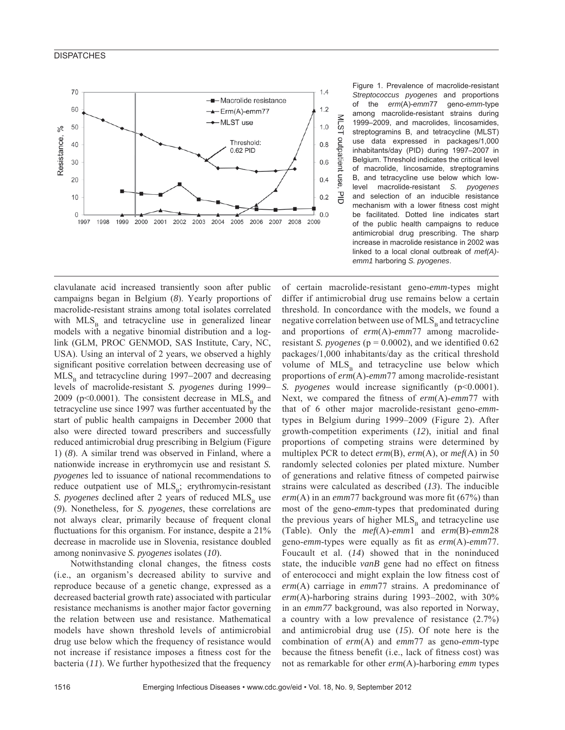## **DISPATCHES**



Figure 1. Prevalence of macrolide-resistant *Streptococcus pyogenes* and proportions of the *erm*(A)-*emm*77 geno-*emm*-type among macrolide-resistant strains during 1999–2009, and macrolides, lincosamides, streptogramins B, and tetracycline (MLST) use data expressed in packages/1,000 inhabitants/day (PID) during 1997–2007 in Belgium. Threshold indicates the critical level of macrolide, lincosamide, streptogramins B, and tetracycline use below which lowlevel macrolide-resistant *S. pyogenes* and selection of an inducible resistance mechanism with a lower fitness cost might be facilitated. Dotted line indicates start of the public health campaigns to reduce antimicrobial drug prescribing. The sharp increase in macrolide resistance in 2002 was linked to a local clonal outbreak of *mef(A) emm1* harboring *S. pyogenes*.

clavulanate acid increased transiently soon after public campaigns began in Belgium (*8*). Yearly proportions of macrolide-resistant strains among total isolates correlated with  $MLS_B$  and tetracycline use in generalized linear models with a negative binomial distribution and a loglink (GLM, PROC GENMOD, SAS Institute, Cary, NC, USA). Using an interval of 2 years, we observed a highly significant positive correlation between decreasing use of  $MLS<sub>p</sub>$  and tetracycline during 1997–2007 and decreasing levels of macrolide-resistant *S. pyogenes* during 1999− 2009 ( $p<0.0001$ ). The consistent decrease in MLS<sub>p</sub> and tetracycline use since 1997 was further accentuated by the start of public health campaigns in December 2000 that also were directed toward prescribers and successfully reduced antimicrobial drug prescribing in Belgium (Figure 1) (*8*). A similar trend was observed in Finland, where a nationwide increase in erythromycin use and resistant *S. pyogenes* led to issuance of national recommendations to reduce outpatient use of  $MLS_B$ ; erythromycin-resistant *S. pyogenes* declined after 2 years of reduced MLS<sub>p</sub> use (*9*). Nonetheless, for *S. pyogenes*, these correlations are not always clear, primarily because of frequent clonal fluctuations for this organism. For instance, despite a 21% decrease in macrolide use in Slovenia, resistance doubled among noninvasive *S. pyogenes* isolates (*10*).

Notwithstanding clonal changes, the fitness costs (i.e., an organism's decreased ability to survive and reproduce because of a genetic change, expressed as a decreased bacterial growth rate) associated with particular resistance mechanisms is another major factor governing the relation between use and resistance. Mathematical models have shown threshold levels of antimicrobial drug use below which the frequency of resistance would not increase if resistance imposes a fitness cost for the bacteria (*11*). We further hypothesized that the frequency

of certain macrolide-resistant geno-*emm*-types might differ if antimicrobial drug use remains below a certain threshold. In concordance with the models, we found a negative correlation between use of  $MLS<sub>B</sub>$  and tetracycline and proportions of *erm*(A)-*emm*77 among macrolideresistant *S. pyogenes* ( $p = 0.0002$ ), and we identified 0.62 packages/1,000 inhabitants/day as the critical threshold volume of  $MLS_B$  and tetracycline use below which proportions of *erm*(A)-*emm*77 among macrolide-resistant *S. pyogenes* would increase significantly (p<0.0001). Next, we compared the fitness of *erm*(A)-*emm*77 with that of 6 other major macrolide-resistant geno-*emm*types in Belgium during 1999–2009 (Figure 2). After growth-competition experiments (12), initial and final proportions of competing strains were determined by multiplex PCR to detect *erm*(B), *erm*(A), or *mef*(A) in 50 randomly selected colonies per plated mixture. Number of generations and relative fitness of competed pairwise strains were calculated as described (*13*). The inducible  $erm(A)$  in an *emm*77 background was more fit (67%) than most of the geno-*emm*-types that predominated during the previous years of higher  $MLS<sub>B</sub>$  and tetracycline use (Table). Only the *mef*(A)-*emm*1 and *erm*(B)-*emm*28 geno-*emm*-types were equally as fit as  $erm(A)$ - $emm77$ . Foucault et al. (*14*) showed that in the noninduced state, the inducible *vanB* gene had no effect on fitness of enterococci and might explain the low fitness cost of *erm*(A) carriage in *emm*77 strains. A predominance of *erm*(A)-harboring strains during 1993–2002, with 30% in an *emm77* background, was also reported in Norway, a country with a low prevalence of resistance (2.7%) and antimicrobial drug use (*15*). Of note here is the combination of *erm*(A) and *emm*77 as geno-*emm*-type because the fitness benefit (i.e., lack of fitness cost) was not as remarkable for other *erm*(A)-harboring *emm* types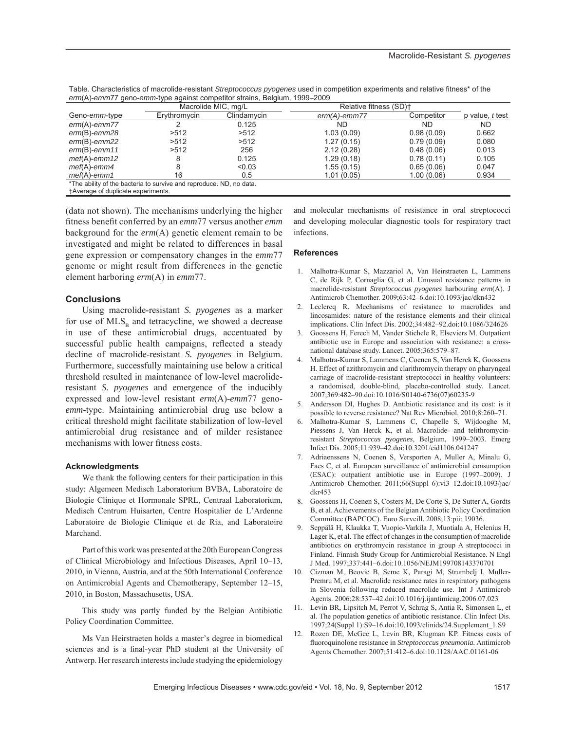Table. Characteristics of macrolide-resistant *Streptococcus pyogenes* used in competition experiments and relative fitness\* of the *erm*(A)-*emm*77 geno-*emm*-type against competitor strains, Belgium, 1999–2009

|                                           | Macrolide MIC, mg/L                                                 |             | Relative fitness (SD) <sup>+</sup> |            |                        |
|-------------------------------------------|---------------------------------------------------------------------|-------------|------------------------------------|------------|------------------------|
| Geno-emm-type                             | Erythromycin                                                        | Clindamycin | $erm(A)$ -emm77                    | Competitor | p value, <i>t</i> test |
| $erm(A)-emm77$                            |                                                                     | 0.125       | ND                                 | ND         | ND                     |
| $erm(B)-emm28$                            | >512                                                                | >512        | 1.03(0.09)                         | 0.98(0.09) | 0.662                  |
| $erm(B)-emm22$                            | >512                                                                | >512        | 1.27(0.15)                         | 0.79(0.09) | 0.080                  |
| $erm(B)-emm11$                            | >512                                                                | 256         | 2.12(0.28)                         | 0.48(0.06) | 0.013                  |
| $mef(A)-emm12$                            |                                                                     | 0.125       | 1.29(0.18)                         | 0.78(0.11) | 0.105                  |
| $mef(A)-emm4$                             |                                                                     | < 0.03      | 1.55(0.15)                         | 0.65(0.06) | 0.047                  |
| $mef(A)-emm1$                             | 16                                                                  | 0.5         | 1.01(0.05)                         | 1.00(0.06) | 0.934                  |
|                                           | *The ability of the bacteria to survive and reproduce. ND, no data. |             |                                    |            |                        |
| <b>TAverage of duplicate experiments.</b> |                                                                     |             |                                    |            |                        |

(data not shown). The mechanisms underlying the higher fitness benefit conferred by an *emm*77 versus another *emm* background for the *erm*(A) genetic element remain to be investigated and might be related to differences in basal gene expression or compensatory changes in the *emm*77 genome or might result from differences in the genetic element harboring *erm*(A) in *emm*77.

#### **Conclusions**

Using macrolide-resistant *S. pyogenes* as a marker for use of  $MLS<sub>B</sub>$  and tetracycline, we showed a decrease in use of these antimicrobial drugs, accentuated by successful public health campaigns, reflected a steady decline of macrolide-resistant *S. pyogenes* in Belgium. Furthermore, successfully maintaining use below a critical threshold resulted in maintenance of low-level macrolideresistant *S. pyogenes* and emergence of the inducibly expressed and low-level resistant *erm*(A)-*emm*77 geno*emm*-type. Maintaining antimicrobial drug use below a critical threshold might facilitate stabilization of low-level antimicrobial drug resistance and of milder resistance mechanisms with lower fitness costs.

## **Acknowledgments**

We thank the following centers for their participation in this study: Algemeen Medisch Laboratorium BVBA, Laboratoire de Biologie Clinique et Hormonale SPRL, Centraal Laboratorium, Medisch Centrum Huisarten, Centre Hospitalier de L'Ardenne Laboratoire de Biologie Clinique et de Ria, and Laboratoire Marchand.

Part of this work was presented at the 20th European Congress of Clinical Microbiology and Infectious Diseases, April 10–13, 2010, in Vienna, Austria, and at the 50th International Conference on Antimicrobial Agents and Chemotherapy, September 12–15, 2010, in Boston, Massachusetts, USA.

This study was partly funded by the Belgian Antibiotic Policy Coordination Committee.

Ms Van Heirstraeten holds a master's degree in biomedical sciences and is a final-year PhD student at the University of Antwerp. Her research interests include studying the epidemiology and molecular mechanisms of resistance in oral streptococci and developing molecular diagnostic tools for respiratory tract infections.

#### **References**

- 1. Malhotra-Kumar S, Mazzariol A, Van Heirstraeten L, Lammens C, de Rijk P, Cornaglia G, et al. Unusual resistance patterns in macrolide-resistant *Streptococcus pyogenes* harbouring *erm*(A). J Antimicrob Chemother. 2009;63:42–6.doi:10.1093/jac/dkn432
- 2. Leclercq R. Mechanisms of resistance to macrolides and lincosamides: nature of the resistance elements and their clinical implications. Clin Infect Dis. 2002;34:482–92.doi:10.1086/324626
- 3. Goossens H, Ferech M, Vander Stichele R, Elseviers M. Outpatient antibiotic use in Europe and association with resistance: a crossnational database study. Lancet. 2005;365:579–87.
- 4. Malhotra-Kumar S, Lammens C, Coenen S, Van Herck K, Goossens H. Effect of azithromycin and clarithromycin therapy on pharyngeal carriage of macrolide-resistant streptococci in healthy volunteers: a randomised, double-blind, placebo-controlled study. Lancet. 2007;369:482–90.doi:10.1016/S0140-6736(07)60235-9
- 5. Andersson DI, Hughes D. Antibiotic resistance and its cost: is it possible to reverse resistance? Nat Rev Microbiol. 2010;8:260–71.
- 6. Malhotra-Kumar S, Lammens C, Chapelle S, Wijdooghe M, Piessens J, Van Herck K, et al. Macrolide- and telithromycinresistant *Streptococcus pyogenes*, Belgium, 1999–2003. Emerg Infect Dis. 2005;11:939–42.doi:10.3201/eid1106.041247
- 7. Adriaenssens N, Coenen S, Versporten A, Muller A, Minalu G, Faes C, et al. European surveillance of antimicrobial consumption (ESAC): outpatient antibiotic use in Europe (1997–2009). J Antimicrob Chemother. 2011;66(Suppl 6):vi3–12.doi:10.1093/jac/ dkr453
- 8. Goossens H, Coenen S, Costers M, De Corte S, De Sutter A, Gordts B, et al. Achievements of the Belgian Antibiotic Policy Coordination Committee (BAPCOC). Euro Surveill. 2008;13:pii: 19036.
- 9. Seppälä H, Klaukka T, Vuopio-Varkila J, Muotiala A, Helenius H, Lager K, et al. The effect of changes in the consumption of macrolide antibiotics on erythromycin resistance in group A streptococci in Finland. Finnish Study Group for Antimicrobial Resistance. N Engl J Med. 1997;337:441–6.doi:10.1056/NEJM199708143370701
- 10. Cizman M, Beovic B, Seme K, Paragi M, Strumbelj I, Muller-Premru M, et al. Macrolide resistance rates in respiratory pathogens in Slovenia following reduced macrolide use. Int J Antimicrob Agents. 2006;28:537–42.doi:10.1016/j.ijantimicag.2006.07.023
- 11. Levin BR, Lipsitch M, Perrot V, Schrag S, Antia R, Simonsen L, et al. The population genetics of antibiotic resistance. Clin Infect Dis. 1997;24(Suppl 1):S9–16.doi:10.1093/clinids/24.Supplement\_1.S9
- 12. Rozen DE, McGee L, Levin BR, Klugman KP. Fitness costs of fluoroquinolone resistance in *Streptococcus pneumonia*. Antimicrob Agents Chemother. 2007;51:412–6.doi:10.1128/AAC.01161-06